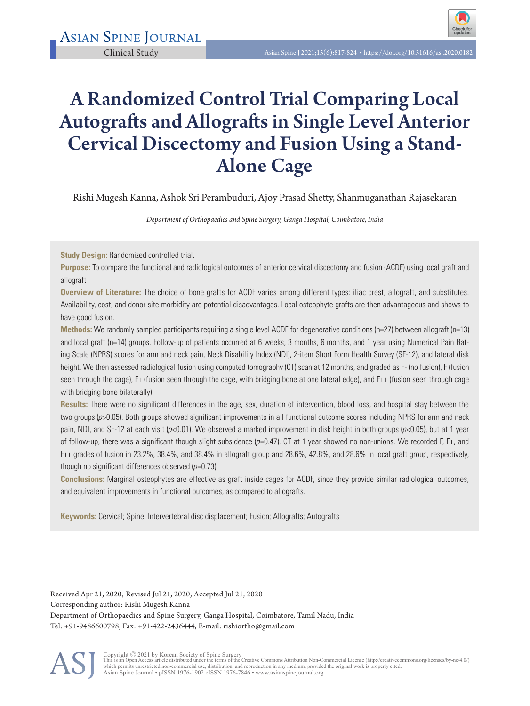# A Randomized Control Trial Comparing Local Autografts and Allografts in Single Level Anterior Cervical Discectomy and Fusion Using a Stand-Alone Cage

Rishi Mugesh Kanna, Ashok Sri Perambuduri, Ajoy Prasad Shetty, Shanmuganathan Rajasekaran

*Department of Orthopaedics and Spine Surgery, Ganga Hospital, Coimbatore, India* 

**Study Design:** Randomized controlled trial.

**Purpose:** To compare the functional and radiological outcomes of anterior cervical discectomy and fusion (ACDF) using local graft and allograft

**Overview of Literature:** The choice of bone grafts for ACDF varies among different types: iliac crest, allograft, and substitutes. Availability, cost, and donor site morbidity are potential disadvantages. Local osteophyte grafts are then advantageous and shows to have good fusion.

**Methods:** We randomly sampled participants requiring a single level ACDF for degenerative conditions (n=27) between allograft (n=13) and local graft (n=14) groups. Follow-up of patients occurred at 6 weeks, 3 months, 6 months, and 1 year using Numerical Pain Rating Scale (NPRS) scores for arm and neck pain, Neck Disability Index (NDI), 2-item Short Form Health Survey (SF-12), and lateral disk height. We then assessed radiological fusion using computed tomography (CT) scan at 12 months, and graded as F- (no fusion), F (fusion seen through the cage), F+ (fusion seen through the cage, with bridging bone at one lateral edge), and F++ (fusion seen through cage with bridging bone bilaterally).

**Results:** There were no significant differences in the age, sex, duration of intervention, blood loss, and hospital stay between the two groups (p>0.05). Both groups showed significant improvements in all functional outcome scores including NPRS for arm and neck pain, NDI, and SF-12 at each visit ( $p<0.01$ ). We observed a marked improvement in disk height in both groups ( $p<0.05$ ), but at 1 year of follow-up, there was a significant though slight subsidence  $(p=0.47)$ . CT at 1 year showed no non-unions. We recorded F, F+, and F++ grades of fusion in 23.2%, 38.4%, and 38.4% in allograft group and 28.6%, 42.8%, and 28.6% in local graft group, respectively, though no significant differences observed  $(p=0.73)$ .

**Conclusions:** Marginal osteophytes are effective as graft inside cages for ACDF, since they provide similar radiological outcomes, and equivalent improvements in functional outcomes, as compared to allografts.

**Keywords:** Cervical; Spine; Intervertebral disc displacement; Fusion; Allografts; Autografts

Received Apr 21, 2020; Revised Jul 21, 2020; Accepted Jul 21, 2020 Corresponding author: Rishi Mugesh Kanna Department of Orthopaedics and Spine Surgery, Ganga Hospital, Coimbatore, Tamil Nadu, India Tel: +91-9486600798, Fax: +91-422-2436444, E-mail: rishiortho@gmail.com



Copyright © 2021 by Korean Society of Spine Surgery<br>This is an Open Access article distributed under the terms of the Creative Commons Attribution Non-Commercial License (http://creativecommons.org/licenses/by-nc/4.0/)<br>whi Asian Spine Journal • pISSN 1976-1902 eISSN 1976-7846 • www.asianspinejournal.org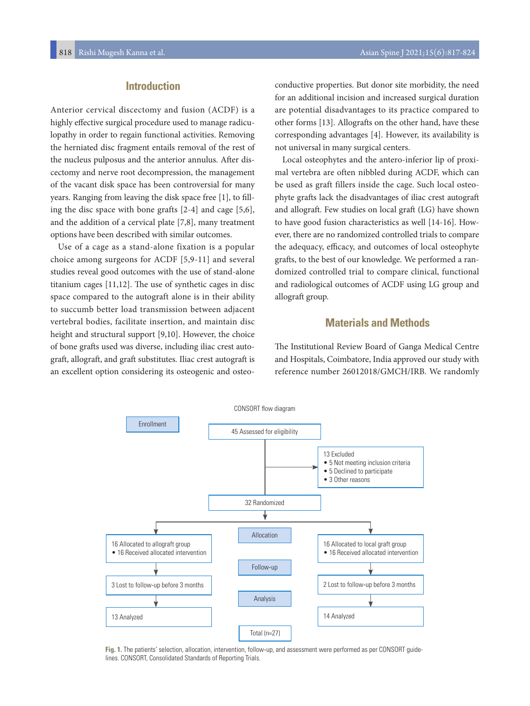# **Introduction**

Anterior cervical discectomy and fusion (ACDF) is a highly effective surgical procedure used to manage radiculopathy in order to regain functional activities. Removing the herniated disc fragment entails removal of the rest of the nucleus pulposus and the anterior annulus. After discectomy and nerve root decompression, the management of the vacant disk space has been controversial for many years. Ranging from leaving the disk space free [1], to filling the disc space with bone grafts [2-4] and cage [5,6], and the addition of a cervical plate [7,8], many treatment options have been described with similar outcomes.

Use of a cage as a stand-alone fixation is a popular choice among surgeons for ACDF [5,9-11] and several studies reveal good outcomes with the use of stand-alone titanium cages [11,12]. The use of synthetic cages in disc space compared to the autograft alone is in their ability to succumb better load transmission between adjacent vertebral bodies, facilitate insertion, and maintain disc height and structural support [9,10]. However, the choice of bone grafts used was diverse, including iliac crest autograft, allograft, and graft substitutes. Iliac crest autograft is an excellent option considering its osteogenic and osteoconductive properties. But donor site morbidity, the need for an additional incision and increased surgical duration are potential disadvantages to its practice compared to other forms [13]. Allografts on the other hand, have these corresponding advantages [4]. However, its availability is not universal in many surgical centers.

Local osteophytes and the antero-inferior lip of proximal vertebra are often nibbled during ACDF, which can be used as graft fillers inside the cage. Such local osteophyte grafts lack the disadvantages of iliac crest autograft and allograft. Few studies on local graft (LG) have shown to have good fusion characteristics as well [14-16]. However, there are no randomized controlled trials to compare the adequacy, efficacy, and outcomes of local osteophyte grafts, to the best of our knowledge. We performed a randomized controlled trial to compare clinical, functional and radiological outcomes of ACDF using LG group and allograft group.

# **Materials and Methods**

The Institutional Review Board of Ganga Medical Centre and Hospitals, Coimbatore, India approved our study with reference number 26012018/GMCH/IRB. We randomly



**Fig. 1.** The patients' selection, allocation, intervention, follow-up, and assessment were performed as per CONSORT guidelines. CONSORT, Consolidated Standards of Reporting Trials.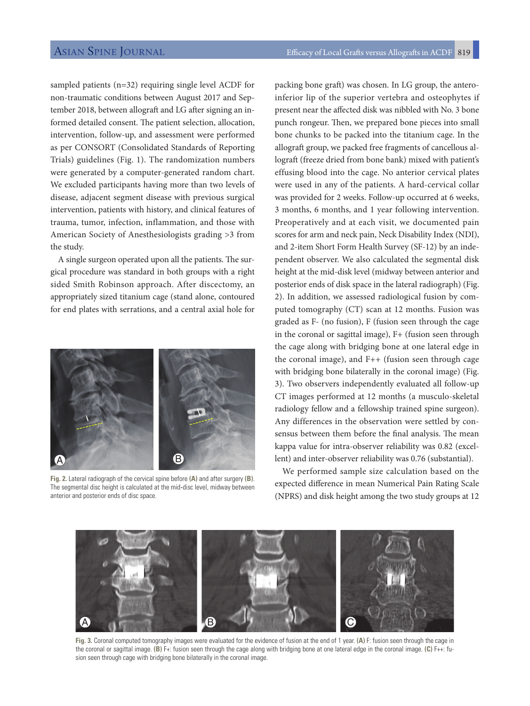sampled patients (n=32) requiring single level ACDF for non-traumatic conditions between August 2017 and September 2018, between allograft and LG after signing an informed detailed consent. The patient selection, allocation, intervention, follow-up, and assessment were performed as per CONSORT (Consolidated Standards of Reporting Trials) guidelines (Fig. 1). The randomization numbers were generated by a computer-generated random chart. We excluded participants having more than two levels of disease, adjacent segment disease with previous surgical intervention, patients with history, and clinical features of trauma, tumor, infection, inflammation, and those with American Society of Anesthesiologists grading >3 from the study.

A single surgeon operated upon all the patients. The surgical procedure was standard in both groups with a right sided Smith Robinson approach. After discectomy, an appropriately sized titanium cage (stand alone, contoured for end plates with serrations, and a central axial hole for



**Fig. 2.** Lateral radiograph of the cervical spine before **(A)** and after surgery **(B)**. The segmental disc height is calculated at the mid-disc level, midway between anterior and posterior ends of disc space.

packing bone graft) was chosen. In LG group, the anteroinferior lip of the superior vertebra and osteophytes if present near the affected disk was nibbled with No. 3 bone punch rongeur. Then, we prepared bone pieces into small bone chunks to be packed into the titanium cage. In the allograft group, we packed free fragments of cancellous allograft (freeze dried from bone bank) mixed with patient's effusing blood into the cage. No anterior cervical plates were used in any of the patients. A hard-cervical collar was provided for 2 weeks. Follow-up occurred at 6 weeks, 3 months, 6 months, and 1 year following intervention. Preoperatively and at each visit, we documented pain scores for arm and neck pain, Neck Disability Index (NDI), and 2-item Short Form Health Survey (SF-12) by an independent observer. We also calculated the segmental disk height at the mid-disk level (midway between anterior and posterior ends of disk space in the lateral radiograph) (Fig. 2). In addition, we assessed radiological fusion by computed tomography (CT) scan at 12 months. Fusion was graded as F- (no fusion), F (fusion seen through the cage in the coronal or sagittal image), F+ (fusion seen through the cage along with bridging bone at one lateral edge in the coronal image), and F++ (fusion seen through cage with bridging bone bilaterally in the coronal image) (Fig. 3). Two observers independently evaluated all follow-up CT images performed at 12 months (a musculo-skeletal radiology fellow and a fellowship trained spine surgeon). Any differences in the observation were settled by consensus between them before the final analysis. The mean kappa value for intra-observer reliability was 0.82 (excellent) and inter-observer reliability was 0.76 (substantial).

We performed sample size calculation based on the expected difference in mean Numerical Pain Rating Scale (NPRS) and disk height among the two study groups at 12



**Fig. 3.** Coronal computed tomography images were evaluated for the evidence of fusion at the end of 1 year. **(A)** F: fusion seen through the cage in the coronal or sagittal image. **(B)** F+: fusion seen through the cage along with bridging bone at one lateral edge in the coronal image. **(C)** F++: fusion seen through cage with bridging bone bilaterally in the coronal image.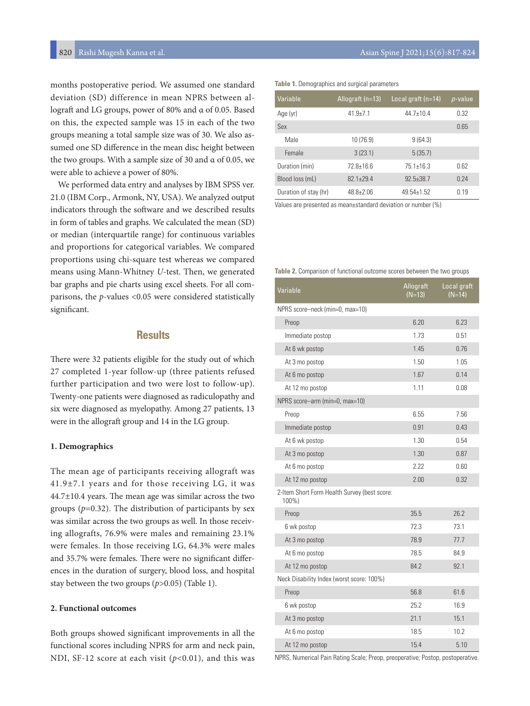months postoperative period. We assumed one standard deviation (SD) difference in mean NPRS between allograft and LG groups, power of 80% and α of 0.05. Based on this, the expected sample was 15 in each of the two groups meaning a total sample size was of 30. We also assumed one SD difference in the mean disc height between the two groups. With a sample size of 30 and  $\alpha$  of 0.05, we were able to achieve a power of 80%.

We performed data entry and analyses by IBM SPSS ver. 21.0 (IBM Corp., Armonk, NY, USA). We analyzed output indicators through the software and we described results in form of tables and graphs. We calculated the mean (SD) or median (interquartile range) for continuous variables and proportions for categorical variables. We compared proportions using chi-square test whereas we compared means using Mann-Whitney *U*-test. Then, we generated bar graphs and pie charts using excel sheets. For all comparisons, the *p*-values <0.05 were considered statistically significant.

# **Results**

There were 32 patients eligible for the study out of which 27 completed 1-year follow-up (three patients refused further participation and two were lost to follow-up). Twenty-one patients were diagnosed as radiculopathy and six were diagnosed as myelopathy. Among 27 patients, 13 were in the allograft group and 14 in the LG group.

#### **1. Demographics**

The mean age of participants receiving allograft was 41.9±7.1 years and for those receiving LG, it was 44.7±10.4 years. The mean age was similar across the two groups  $(p=0.32)$ . The distribution of participants by sex was similar across the two groups as well. In those receiving allografts, 76.9% were males and remaining 23.1% were females. In those receiving LG, 64.3% were males and 35.7% were females. There were no significant differences in the duration of surgery, blood loss, and hospital stay between the two groups (*p*>0.05) (Table 1).

### **2. Functional outcomes**

Both groups showed significant improvements in all the functional scores including NPRS for arm and neck pain, NDI, SF-12 score at each visit ( $p$ <0.01), and this was

|  |  | Table 1. Demographics and surgical parameters |
|--|--|-----------------------------------------------|
|  |  |                                               |

| Variable              | Allograft (n=13) | Local graft $(n=14)$ | $p$ -value |
|-----------------------|------------------|----------------------|------------|
| Age (yr)              | $41.9 + 7.1$     | $44.7 + 10.4$        | 0.32       |
| Sex                   |                  |                      | 0.65       |
| Male                  | 10 (76.9)        | 9(64.3)              |            |
| Female                | 3(23.1)          | 5(35.7)              |            |
| Duration (min)        | $728+166$        | $751+163$            | 0.62       |
| Blood loss (mL)       | $82.1 + 29.4$    | $92.5 + 38.7$        | 0 24       |
| Duration of stay (hr) | $48.8 + 2.06$    | $49.54 + 1.52$       | n 19       |

Values are presented as mean±standard deviation or number (%)

#### **Table 2.** Comparison of functional outcome scores between the two groups

| Variable                                              | Allograft<br>$(N=13)$ | Local graft<br>$(N=14)$ |
|-------------------------------------------------------|-----------------------|-------------------------|
| NPRS score-neck (min=0, max=10)                       |                       |                         |
| Preop                                                 | 6.20                  | 6.23                    |
| Immediate postop                                      | 1.73                  | 0.51                    |
| At 6 wk postop                                        | 1.45                  | 0.76                    |
| At 3 mo postop                                        | 1.50                  | 1.05                    |
| At 6 mo postop                                        | 1.67                  | 0.14                    |
| At 12 mo postop                                       | 1.11                  | 0.08                    |
| NPRS score-arm (min=0, max=10)                        |                       |                         |
| Preop                                                 | 6.55                  | 7.56                    |
| Immediate postop                                      | 0.91                  | 0.43                    |
| At 6 wk postop                                        | 1.30                  | 0.54                    |
| At 3 mo postop                                        | 1.30                  | 0.87                    |
| At 6 mo postop                                        | 2.22                  | 0.60                    |
| At 12 mo postop                                       | 2.00                  | 0.32                    |
| 2-Item Short Form Health Survey (best score:<br>100%) |                       |                         |
| Preop                                                 | 35.5                  | 26.2                    |
| 6 wk postop                                           | 72.3                  | 73.1                    |
| At 3 mo postop                                        | 78.9                  | 77.7                    |
| At 6 mo postop                                        | 78.5                  | 84.9                    |
| At 12 mo postop                                       | 84.2                  | 92.1                    |
| Neck Disability Index (worst score: 100%)             |                       |                         |
| Preop                                                 | 56.8                  | 61.6                    |
| 6 wk postop                                           | 25.2                  | 16.9                    |
| At 3 mo postop                                        | 21.1                  | 15.1                    |
| At 6 mo postop                                        | 18.5                  | 10.2                    |
| At 12 mo postop                                       | 15.4                  | 5.10                    |

NPRS, Numerical Pain Rating Scale; Preop, preoperative; Postop, postoperative.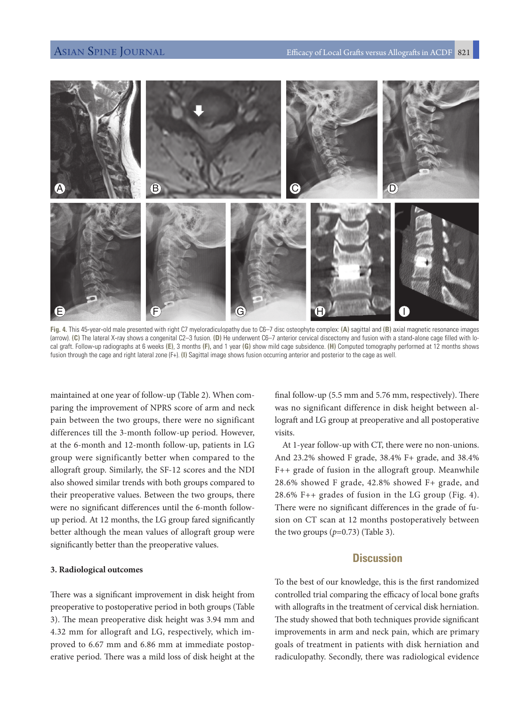

**Fig. 4.** This 45-year-old male presented with right C7 myeloradiculopathy due to C6–7 disc osteophyte complex: **(A)** sagittal and **(B)** axial magnetic resonance images (arrow). **(C)** The lateral X-ray shows a congenital C2–3 fusion. **(D)** He underwent C6–7 anterior cervical discectomy and fusion with a stand-alone cage filled with local graft. Follow-up radiographs at 6 weeks **(E)**, 3 months **(F),** and 1 year **(G)** show mild cage subsidence. **(H)** Computed tomography performed at 12 months shows fusion through the cage and right lateral zone (F+). **(I)** Sagittal image shows fusion occurring anterior and posterior to the cage as well.

maintained at one year of follow-up (Table 2). When comparing the improvement of NPRS score of arm and neck pain between the two groups, there were no significant differences till the 3-month follow-up period. However, at the 6-month and 12-month follow-up, patients in LG group were significantly better when compared to the allograft group. Similarly, the SF-12 scores and the NDI also showed similar trends with both groups compared to their preoperative values. Between the two groups, there were no significant differences until the 6-month followup period. At 12 months, the LG group fared significantly better although the mean values of allograft group were significantly better than the preoperative values.

### **3. Radiological outcomes**

There was a significant improvement in disk height from preoperative to postoperative period in both groups (Table 3). The mean preoperative disk height was 3.94 mm and 4.32 mm for allograft and LG, respectively, which improved to 6.67 mm and 6.86 mm at immediate postoperative period. There was a mild loss of disk height at the

final follow-up (5.5 mm and 5.76 mm, respectively). There was no significant difference in disk height between allograft and LG group at preoperative and all postoperative visits.

At 1-year follow-up with CT, there were no non-unions. And 23.2% showed F grade, 38.4% F+ grade, and 38.4% F++ grade of fusion in the allograft group. Meanwhile 28.6% showed F grade, 42.8% showed F+ grade, and 28.6% F++ grades of fusion in the LG group (Fig. 4). There were no significant differences in the grade of fusion on CT scan at 12 months postoperatively between the two groups  $(p=0.73)$  (Table 3).

# **Discussion**

To the best of our knowledge, this is the first randomized controlled trial comparing the efficacy of local bone grafts with allografts in the treatment of cervical disk herniation. The study showed that both techniques provide significant improvements in arm and neck pain, which are primary goals of treatment in patients with disk herniation and radiculopathy. Secondly, there was radiological evidence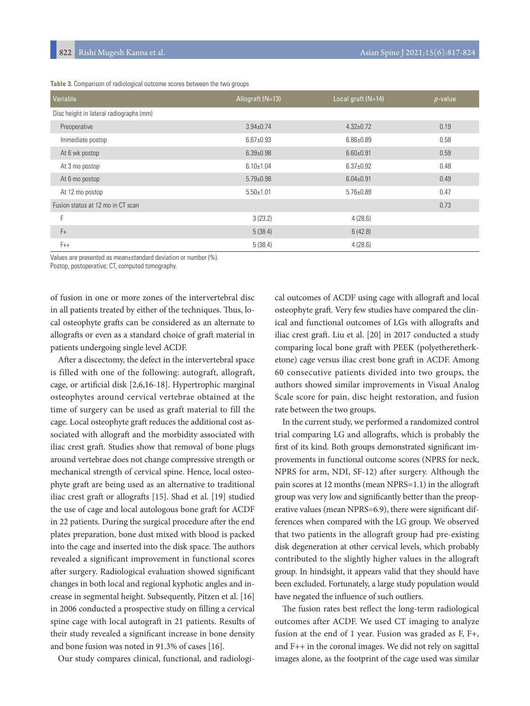**Table 3.** Comparison of radiological outcome scores between the two groups

| Variable                                | Allograft (N=13) | Local graft (N=14) | $p$ -value |
|-----------------------------------------|------------------|--------------------|------------|
| Disc height in lateral radiographs (mm) |                  |                    |            |
| Preoperative                            | $3.94 \pm 0.74$  | $4.32 \pm 0.72$    | 0.19       |
| Immediate postop                        | $6.67 \pm 0.93$  | $6.86{\pm}0.89$    | 0.58       |
| At 6 wk postop                          | $6.39 \pm 0.98$  | $6.60 \pm 0.91$    | 0.59       |
| At 3 mo postop                          | $6.10 \pm 1.04$  | $6.37 \pm 0.92$    | 0.48       |
| At 6 mo postop                          | $5.79 \pm 0.98$  | $6.04 \pm 0.91$    | 0.49       |
| At 12 mo postop                         | $5.50 \pm 1.01$  | $5.76 \pm 0.89$    | 0.47       |
| Fusion status at 12 mo in CT scan       |                  |                    | 0.73       |
| E                                       | 3(23.2)          | 4(28.6)            |            |
| $F +$                                   | 5(38.4)          | 6(42.8)            |            |
| $F++$                                   | 5(38.4)          | 4(28.6)            |            |

Values are presented as mean±standard deviation or number (%).

Postop, postoperative; CT, computed tomography.

of fusion in one or more zones of the intervertebral disc in all patients treated by either of the techniques. Thus, local osteophyte grafts can be considered as an alternate to allografts or even as a standard choice of graft material in patients undergoing single level ACDF.

After a discectomy, the defect in the intervertebral space is filled with one of the following: autograft, allograft, cage, or artificial disk [2,6,16-18]. Hypertrophic marginal osteophytes around cervical vertebrae obtained at the time of surgery can be used as graft material to fill the cage. Local osteophyte graft reduces the additional cost associated with allograft and the morbidity associated with iliac crest graft. Studies show that removal of bone plugs around vertebrae does not change compressive strength or mechanical strength of cervical spine. Hence, local osteophyte graft are being used as an alternative to traditional iliac crest graft or allografts [15]. Shad et al. [19] studied the use of cage and local autologous bone graft for ACDF in 22 patients. During the surgical procedure after the end plates preparation, bone dust mixed with blood is packed into the cage and inserted into the disk space. The authors revealed a significant improvement in functional scores after surgery. Radiological evaluation showed significant changes in both local and regional kyphotic angles and increase in segmental height. Subsequently, Pitzen et al. [16] in 2006 conducted a prospective study on filling a cervical spine cage with local autograft in 21 patients. Results of their study revealed a significant increase in bone density and bone fusion was noted in 91.3% of cases [16].

Our study compares clinical, functional, and radiologi-

cal outcomes of ACDF using cage with allograft and local osteophyte graft. Very few studies have compared the clinical and functional outcomes of LGs with allografts and iliac crest graft. Liu et al. [20] in 2017 conducted a study comparing local bone graft with PEEK (polyetheretherketone) cage versus iliac crest bone graft in ACDF. Among 60 consecutive patients divided into two groups, the authors showed similar improvements in Visual Analog Scale score for pain, disc height restoration, and fusion rate between the two groups.

In the current study, we performed a randomized control trial comparing LG and allografts, which is probably the first of its kind. Both groups demonstrated significant improvements in functional outcome scores (NPRS for neck, NPRS for arm, NDI, SF-12) after surgery. Although the pain scores at 12 months (mean NPRS=1.1) in the allograft group was very low and significantly better than the preoperative values (mean NPRS=6.9), there were significant differences when compared with the LG group. We observed that two patients in the allograft group had pre-existing disk degeneration at other cervical levels, which probably contributed to the slightly higher values in the allograft group. In hindsight, it appears valid that they should have been excluded. Fortunately, a large study population would have negated the influence of such outliers.

The fusion rates best reflect the long-term radiological outcomes after ACDF. We used CT imaging to analyze fusion at the end of 1 year. Fusion was graded as F, F+, and F++ in the coronal images. We did not rely on sagittal images alone, as the footprint of the cage used was similar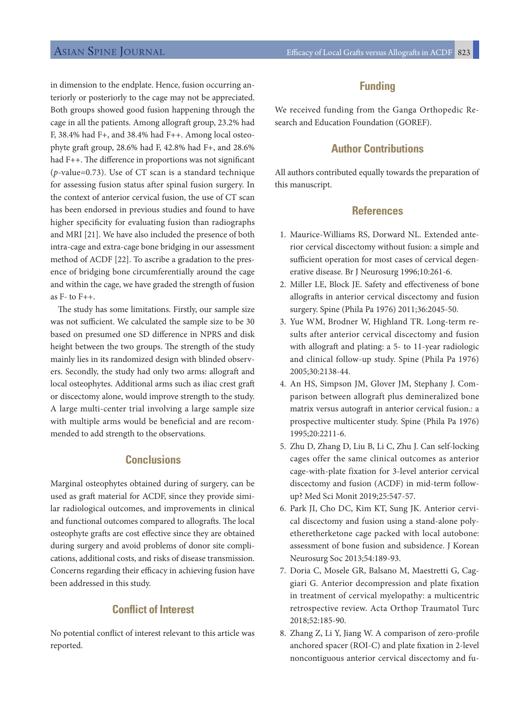in dimension to the endplate. Hence, fusion occurring anteriorly or posteriorly to the cage may not be appreciated. Both groups showed good fusion happening through the cage in all the patients. Among allograft group, 23.2% had F, 38.4% had F+, and 38.4% had F++. Among local osteophyte graft group, 28.6% had F, 42.8% had F+, and 28.6% had F++. The difference in proportions was not significant (*p*-value=0.73). Use of CT scan is a standard technique for assessing fusion status after spinal fusion surgery. In the context of anterior cervical fusion, the use of CT scan has been endorsed in previous studies and found to have higher specificity for evaluating fusion than radiographs and MRI [21]. We have also included the presence of both intra-cage and extra-cage bone bridging in our assessment method of ACDF [22]. To ascribe a gradation to the presence of bridging bone circumferentially around the cage and within the cage, we have graded the strength of fusion as  $F-$  to  $F++$ .

The study has some limitations. Firstly, our sample size was not sufficient. We calculated the sample size to be 30 based on presumed one SD difference in NPRS and disk height between the two groups. The strength of the study mainly lies in its randomized design with blinded observers. Secondly, the study had only two arms: allograft and local osteophytes. Additional arms such as iliac crest graft or discectomy alone, would improve strength to the study. A large multi-center trial involving a large sample size with multiple arms would be beneficial and are recommended to add strength to the observations.

# **Conclusions**

Marginal osteophytes obtained during of surgery, can be used as graft material for ACDF, since they provide similar radiological outcomes, and improvements in clinical and functional outcomes compared to allografts. The local osteophyte grafts are cost effective since they are obtained during surgery and avoid problems of donor site complications, additional costs, and risks of disease transmission. Concerns regarding their efficacy in achieving fusion have been addressed in this study.

# **Conflict of Interest**

No potential conflict of interest relevant to this article was reported.

# **Funding**

We received funding from the Ganga Orthopedic Research and Education Foundation (GOREF).

# **Author Contributions**

All authors contributed equally towards the preparation of this manuscript.

# **References**

- 1. Maurice-Williams RS, Dorward NL. Extended anterior cervical discectomy without fusion: a simple and sufficient operation for most cases of cervical degenerative disease. Br J Neurosurg 1996;10:261-6.
- 2. Miller LE, Block JE. Safety and effectiveness of bone allografts in anterior cervical discectomy and fusion surgery. Spine (Phila Pa 1976) 2011;36:2045-50.
- 3. Yue WM, Brodner W, Highland TR. Long-term results after anterior cervical discectomy and fusion with allograft and plating: a 5- to 11-year radiologic and clinical follow-up study. Spine (Phila Pa 1976) 2005;30:2138-44.
- 4. An HS, Simpson JM, Glover JM, Stephany J. Comparison between allograft plus demineralized bone matrix versus autograft in anterior cervical fusion.: a prospective multicenter study. Spine (Phila Pa 1976) 1995;20:2211-6.
- 5. Zhu D, Zhang D, Liu B, Li C, Zhu J. Can self-locking cages offer the same clinical outcomes as anterior cage-with-plate fixation for 3-level anterior cervical discectomy and fusion (ACDF) in mid-term followup? Med Sci Monit 2019;25:547-57.
- 6. Park JI, Cho DC, Kim KT, Sung JK. Anterior cervical discectomy and fusion using a stand-alone polyetheretherketone cage packed with local autobone: assessment of bone fusion and subsidence. J Korean Neurosurg Soc 2013;54:189-93.
- 7. Doria C, Mosele GR, Balsano M, Maestretti G, Caggiari G. Anterior decompression and plate fixation in treatment of cervical myelopathy: a multicentric retrospective review. Acta Orthop Traumatol Turc 2018;52:185-90.
- 8. Zhang Z, Li Y, Jiang W. A comparison of zero-profile anchored spacer (ROI-C) and plate fixation in 2-level noncontiguous anterior cervical discectomy and fu-